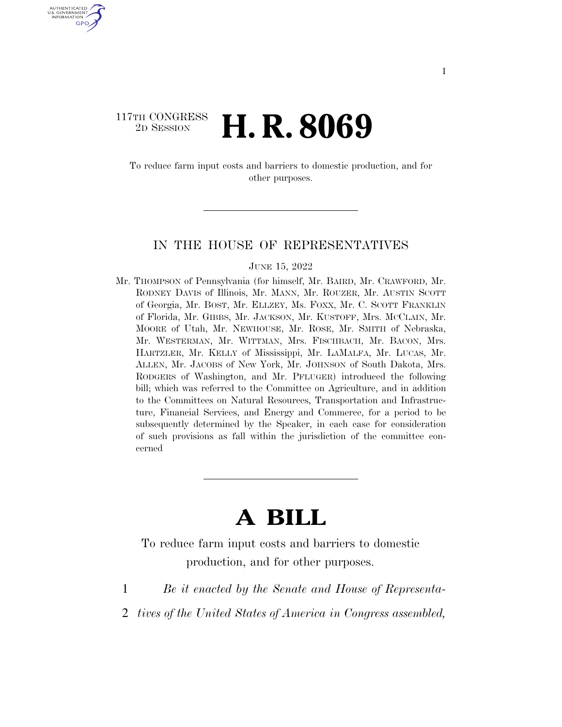#### 117TH CONGRESS <sup>2D SESSION</sup> **H. R. 8069**

U.S. GOVERNMENT GPO

> To reduce farm input costs and barriers to domestic production, and for other purposes.

#### IN THE HOUSE OF REPRESENTATIVES

#### JUNE 15, 2022

Mr. THOMPSON of Pennsylvania (for himself, Mr. BAIRD, Mr. CRAWFORD, Mr. RODNEY DAVIS of Illinois, Mr. MANN, Mr. ROUZER, Mr. AUSTIN SCOTT of Georgia, Mr. BOST, Mr. ELLZEY, Ms. FOXX, Mr. C. SCOTT FRANKLIN of Florida, Mr. GIBBS, Mr. JACKSON, Mr. KUSTOFF, Mrs. MCCLAIN, Mr. MOORE of Utah, Mr. NEWHOUSE, Mr. ROSE, Mr. SMITH of Nebraska, Mr. WESTERMAN, Mr. WITTMAN, Mrs. FISCHBACH, Mr. BACON, Mrs. HARTZLER, Mr. KELLY of Mississippi, Mr. LAMALFA, Mr. LUCAS, Mr. ALLEN, Mr. JACOBS of New York, Mr. JOHNSON of South Dakota, Mrs. RODGERS of Washington, and Mr. PFLUGER) introduced the following bill; which was referred to the Committee on Agriculture, and in addition to the Committees on Natural Resources, Transportation and Infrastructure, Financial Services, and Energy and Commerce, for a period to be subsequently determined by the Speaker, in each case for consideration of such provisions as fall within the jurisdiction of the committee concerned

# **A BILL**

To reduce farm input costs and barriers to domestic production, and for other purposes.

- 1 *Be it enacted by the Senate and House of Representa-*
- 2 *tives of the United States of America in Congress assembled,*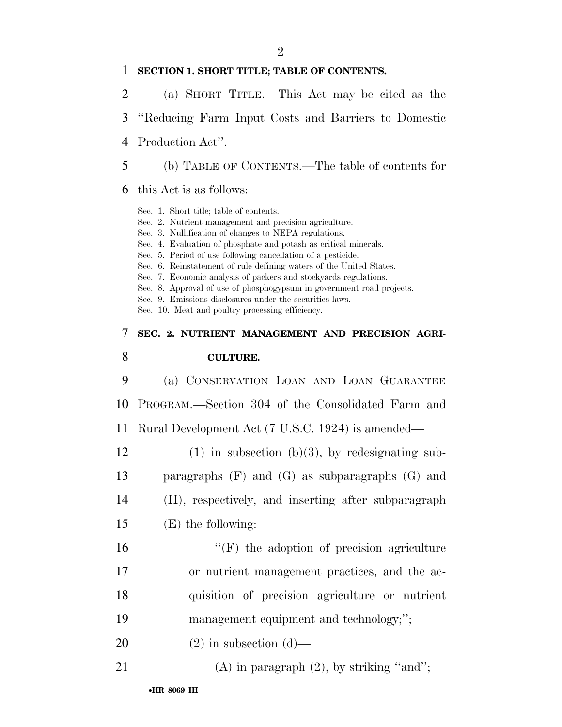#### 1 **SECTION 1. SHORT TITLE; TABLE OF CONTENTS.**

- 2 (a) SHORT TITLE.—This Act may be cited as the
- 3 ''Reducing Farm Input Costs and Barriers to Domestic
- 4 Production Act''.
- 5 (b) TABLE OF CONTENTS.—The table of contents for
- 6 this Act is as follows:

Sec. 1. Short title; table of contents. Sec. 2. Nutrient management and precision agriculture. Sec. 3. Nullification of changes to NEPA regulations. Sec. 4. Evaluation of phosphate and potash as critical minerals. Sec. 5. Period of use following cancellation of a pesticide. Sec. 6. Reinstatement of rule defining waters of the United States. Sec. 7. Economic analysis of packers and stockyards regulations. Sec. 8. Approval of use of phosphogypsum in government road projects. Sec. 9. Emissions disclosures under the securities laws. Sec. 10. Meat and poultry processing efficiency. 7 **SEC. 2. NUTRIENT MANAGEMENT AND PRECISION AGRI-**8 **CULTURE.**  9 (a) CONSERVATION LOAN AND LOAN GUARANTEE 10 PROGRAM.—Section 304 of the Consolidated Farm and 11 Rural Development Act (7 U.S.C. 1924) is amended— 12 (1) in subsection (b)(3), by redesignating sub-13 paragraphs (F) and (G) as subparagraphs (G) and 14 (H), respectively, and inserting after subparagraph 15 (E) the following: 16  $"$ (F) the adoption of precision agriculture 17 or nutrient management practices, and the ac-18 quisition of precision agriculture or nutrient 19 management equipment and technology;''; 20  $(2)$  in subsection  $(d)$ — 21 (A) in paragraph  $(2)$ , by striking "and";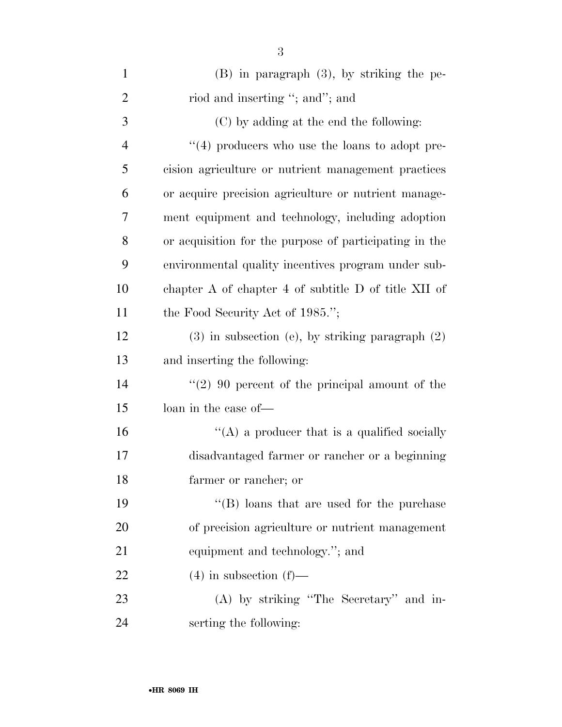| $\mathbf{1}$   | $(B)$ in paragraph $(3)$ , by striking the pe-         |
|----------------|--------------------------------------------------------|
| $\overline{2}$ | riod and inserting "; and"; and                        |
| 3              | (C) by adding at the end the following:                |
| $\overline{4}$ | $``(4)$ producers who use the loans to adopt pre-      |
| 5              | cision agriculture or nutrient management practices    |
| 6              | or acquire precision agriculture or nutrient manage-   |
| 7              | ment equipment and technology, including adoption      |
| 8              | or acquisition for the purpose of participating in the |
| 9              | environmental quality incentives program under sub-    |
| 10             | chapter A of chapter 4 of subtitle D of title XII of   |
| 11             | the Food Security Act of 1985.";                       |
| 12             | $(3)$ in subsection (e), by striking paragraph $(2)$   |
| 13             | and inserting the following:                           |
| 14             | $(2)$ 90 percent of the principal amount of the        |
| 15             | loan in the case of—                                   |
| 16             | "(A) a producer that is a qualified socially           |
| 17             | disadvantaged farmer or rancher or a beginning         |
| 18             | farmer or rancher; or                                  |
| 19             | $\lq\lq$ (B) loans that are used for the purchase      |
| 20             | of precision agriculture or nutrient management        |
| 21             | equipment and technology."; and                        |
| 22             | $(4)$ in subsection $(f)$ —                            |
| 23             | (A) by striking "The Secretary" and in-                |
| 24             | serting the following:                                 |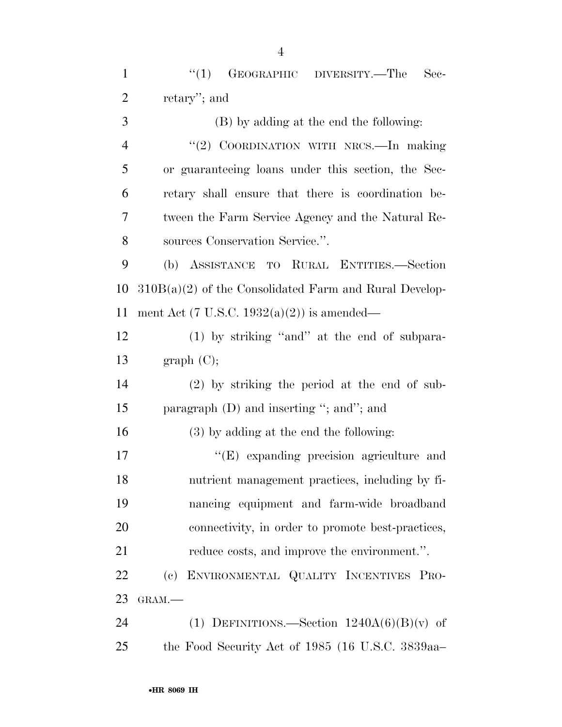1 "(1) GEOGRAPHIC DIVERSITY.—The Sec-retary''; and

 (B) by adding at the end the following: ''(2) COORDINATION WITH NRCS.—In making or guaranteeing loans under this section, the Sec- retary shall ensure that there is coordination be- tween the Farm Service Agency and the Natural Re-sources Conservation Service.''.

 (b) ASSISTANCE TO RURAL ENTITIES.—Section 310B(a)(2) of the Consolidated Farm and Rural Develop-ment Act (7 U.S.C. 1932(a)(2)) is amended—

 (1) by striking ''and'' at the end of subpara-13 graph  $(C)$ ;

 (2) by striking the period at the end of sub-paragraph (D) and inserting ''; and''; and

(3) by adding at the end the following:

 $\langle (E)$  expanding precision agriculture and nutrient management practices, including by fi- nancing equipment and farm-wide broadband connectivity, in order to promote best-practices, reduce costs, and improve the environment.''.

 (c) ENVIRONMENTAL QUALITY INCENTIVES PRO-GRAM.—

24 (1) DEFINITIONS.—Section  $1240A(6)(B)(v)$  of the Food Security Act of 1985 (16 U.S.C. 3839aa–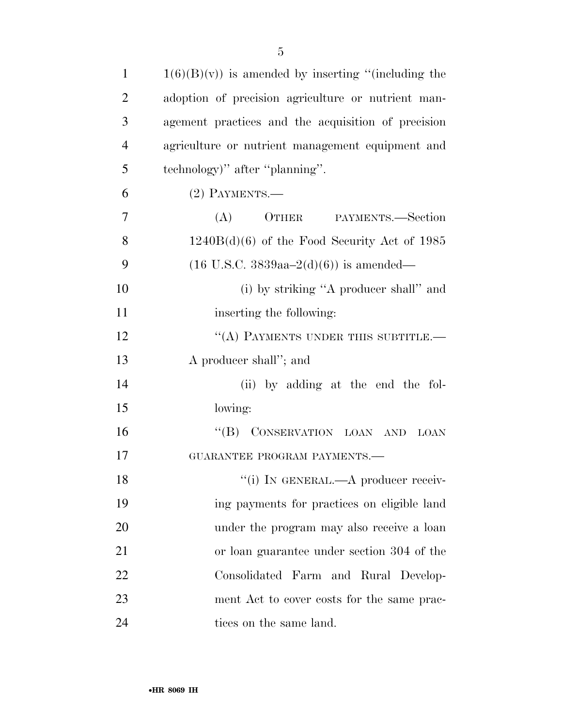| $\mathbf{1}$   | $1(6)(B)(v)$ is amended by inserting "(including the |
|----------------|------------------------------------------------------|
| $\overline{2}$ | adoption of precision agriculture or nutrient man-   |
| 3              | agement practices and the acquisition of precision   |
| $\overline{4}$ | agriculture or nutrient management equipment and     |
| 5              | technology)" after "planning".                       |
| 6              | $(2)$ PAYMENTS.—                                     |
| 7              | (A)<br>OTHER PAYMENTS.—Section                       |
| 8              | $1240B(d)(6)$ of the Food Security Act of 1985       |
| 9              | $(16 \text{ U.S.C. } 3839aa - 2(d)(6))$ is amended—  |
| 10             | (i) by striking "A producer shall" and               |
| 11             | inserting the following:                             |
| 12             | "(A) PAYMENTS UNDER THIS SUBTITLE.-                  |
| 13             | A producer shall"; and                               |
| 14             | (ii) by adding at the end the fol-                   |
| 15             | lowing:                                              |
| 16             | "(B) CONSERVATION LOAN AND LOAN                      |
| 17             | GUARANTEE PROGRAM PAYMENTS.-                         |
| 18             | "(i) IN GENERAL.—A producer receiv-                  |
| 19             | ing payments for practices on eligible land          |
| 20             | under the program may also receive a loan            |
| 21             | or loan guarantee under section 304 of the           |
| 22             | Consolidated Farm and Rural Develop-                 |
| 23             | ment Act to cover costs for the same prac-           |
| 24             | tices on the same land.                              |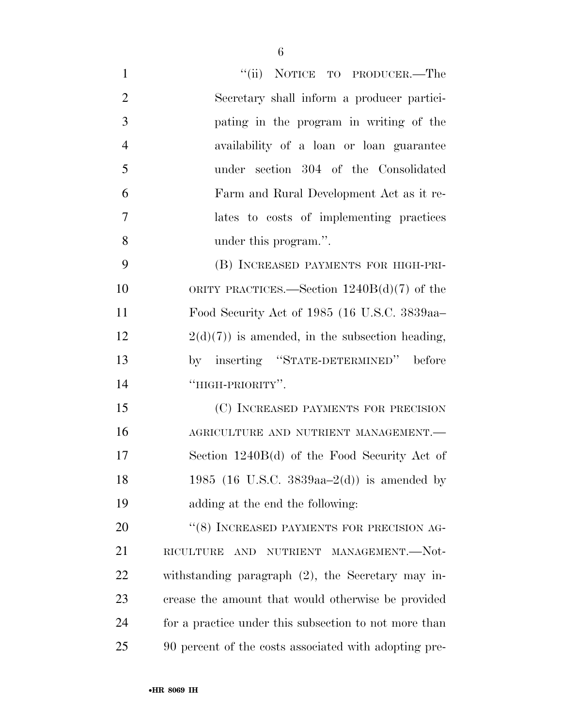| $\mathbf{1}$   | "(ii) NOTICE TO PRODUCER.—The                         |
|----------------|-------------------------------------------------------|
| $\overline{2}$ | Secretary shall inform a producer partici-            |
| 3              | pating in the program in writing of the               |
| $\overline{4}$ | availability of a loan or loan guarantee              |
| 5              | under section 304 of the Consolidated                 |
| 6              | Farm and Rural Development Act as it re-              |
| 7              | lates to costs of implementing practices              |
| 8              | under this program.".                                 |
| 9              | (B) INCREASED PAYMENTS FOR HIGH-PRI-                  |
| 10             | ORITY PRACTICES.—Section $1240B(d)(7)$ of the         |
| 11             | Food Security Act of 1985 (16 U.S.C. 3839aa-          |
| 12             | $2(d)(7)$ is amended, in the subsection heading,      |
| 13             | by inserting "STATE-DETERMINED" before                |
| 14             | "HIGH-PRIORITY".                                      |
| 15             | (C) INCREASED PAYMENTS FOR PRECISION                  |
| 16             | AGRICULTURE AND NUTRIENT MANAGEMENT.-                 |
| 17             | Section $1240B(d)$ of the Food Security Act of        |
| 18             | 1985 (16 U.S.C. 3839aa-2(d)) is amended by            |
| 19             | adding at the end the following:                      |
| 20             | "(8) INCREASED PAYMENTS FOR PRECISION AG-             |
| 21             | NUTRIENT MANAGEMENT.-Not-<br>RICULTURE<br>AND         |
| <u>22</u>      | withstanding paragraph (2), the Secretary may in-     |
| 23             | crease the amount that would otherwise be provided    |
| 24             | for a practice under this subsection to not more than |
| 25             | 90 percent of the costs associated with adopting pre- |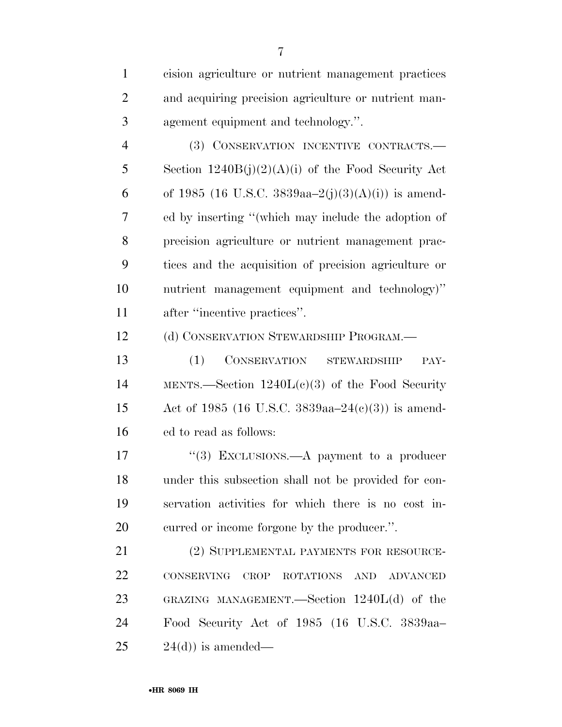| $\mathbf{1}$   | cision agriculture or nutrient management practices       |
|----------------|-----------------------------------------------------------|
| $\overline{2}$ | and acquiring precision agriculture or nutrient man-      |
| 3              | agement equipment and technology.".                       |
| $\overline{4}$ | (3) CONSERVATION INCENTIVE CONTRACTS.-                    |
| 5              | Section $1240B(j)(2)(A)(i)$ of the Food Security Act      |
| 6              | of 1985 (16 U.S.C. 3839aa-2(j)(3)(A)(i)) is amend-        |
| 7              | ed by inserting "(which may include the adoption of       |
| 8              | precision agriculture or nutrient management prac-        |
| 9              | tices and the acquisition of precision agriculture or     |
| 10             | nutrient management equipment and technology)"            |
| 11             | after "incentive practices".                              |
| 12             | (d) CONSERVATION STEWARDSHIP PROGRAM.—                    |
| 13             | CONSERVATION STEWARDSHIP<br>(1)<br>PAY-                   |
| 14             | MENTS.—Section $1240L(c)(3)$ of the Food Security         |
| 15             | Act of 1985 (16 U.S.C. 3839aa–24(c)(3)) is amend-         |
| 16             | ed to read as follows:                                    |
| 17             | "(3) EXCLUSIONS.—A payment to a producer                  |
| 18             | under this subsection shall not be provided for con-      |
| 19             | servation activities for which there is no cost in-       |
| 20             | curred or income forgone by the producer.".               |
| 21             | (2) SUPPLEMENTAL PAYMENTS FOR RESOURCE-                   |
| 22             | CONSERVING<br>CROP<br>ROTATIONS<br>AND<br><b>ADVANCED</b> |
| 23             | GRAZING MANAGEMENT.—Section $1240L(d)$ of the             |
| 24             | Food Security Act of 1985 (16 U.S.C. 3839aa-              |
| 25             | $24(d)$ ) is amended—                                     |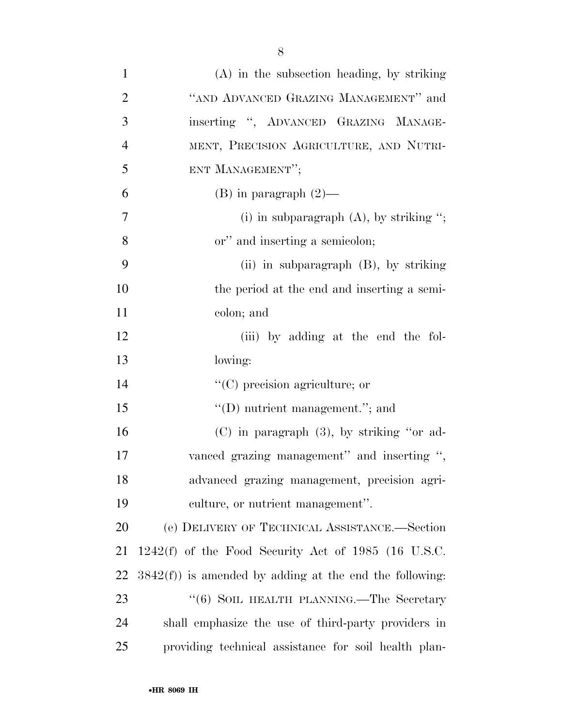| $\mathbf{1}$   | (A) in the subsection heading, by striking                 |
|----------------|------------------------------------------------------------|
| $\overline{2}$ | "AND ADVANCED GRAZING MANAGEMENT" and                      |
| 3              | inserting ", ADVANCED GRAZING MANAGE-                      |
| $\overline{4}$ | MENT, PRECISION AGRICULTURE, AND NUTRI-                    |
| 5              | ENT MANAGEMENT";                                           |
| 6              | $(B)$ in paragraph $(2)$ —                                 |
| $\tau$         | (i) in subparagraph $(A)$ , by striking ";                 |
| 8              | or" and inserting a semicolon;                             |
| 9              | (ii) in subparagraph $(B)$ , by striking                   |
| 10             | the period at the end and inserting a semi-                |
| 11             | colon; and                                                 |
| 12             | (iii) by adding at the end the fol-                        |
| 13             | lowing:                                                    |
| 14             | $\lq\lq$ (C) precision agriculture; or                     |
| 15             | $"$ (D) nutrient management."; and                         |
| 16             | $(C)$ in paragraph $(3)$ , by striking "or ad-             |
| 17             | vanced grazing management" and inserting ",                |
| 18             | advanced grazing management, precision agri-               |
| 19             | culture, or nutrient management".                          |
| 20             | (e) DELIVERY OF TECHNICAL ASSISTANCE.—Section              |
| 21             | $1242(f)$ of the Food Security Act of 1985 (16 U.S.C.      |
| 22             | $3842(f)$ ) is amended by adding at the end the following: |
| 23             | "(6) SOIL HEALTH PLANNING.—The Secretary                   |
| 24             | shall emphasize the use of third-party providers in        |
| 25             | providing technical assistance for soil health plan-       |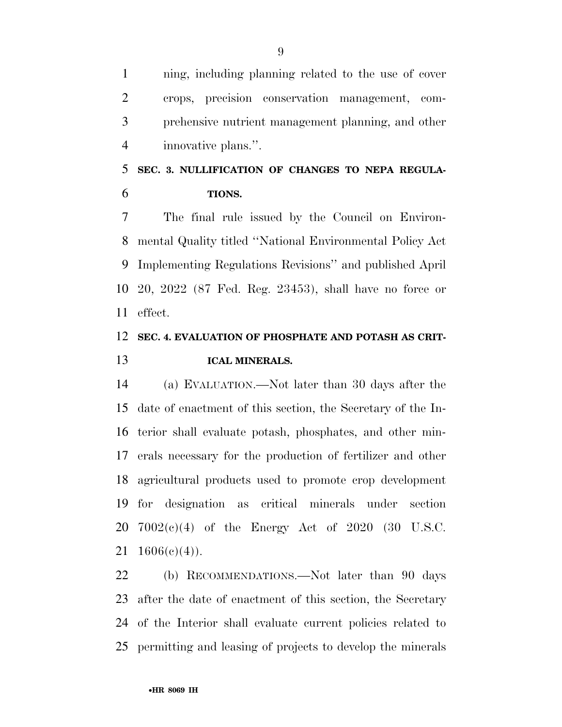ning, including planning related to the use of cover crops, precision conservation management, com- prehensive nutrient management planning, and other innovative plans.''.

# **SEC. 3. NULLIFICATION OF CHANGES TO NEPA REGULA-TIONS.**

 The final rule issued by the Council on Environ- mental Quality titled ''National Environmental Policy Act Implementing Regulations Revisions'' and published April 20, 2022 (87 Fed. Reg. 23453), shall have no force or effect.

### **SEC. 4. EVALUATION OF PHOSPHATE AND POTASH AS CRIT-ICAL MINERALS.**

 (a) EVALUATION.—Not later than 30 days after the date of enactment of this section, the Secretary of the In- terior shall evaluate potash, phosphates, and other min- erals necessary for the production of fertilizer and other agricultural products used to promote crop development for designation as critical minerals under section 7002(c)(4) of the Energy Act of 2020 (30 U.S.C.  $1606(e)(4)$ .

 (b) RECOMMENDATIONS.—Not later than 90 days after the date of enactment of this section, the Secretary of the Interior shall evaluate current policies related to permitting and leasing of projects to develop the minerals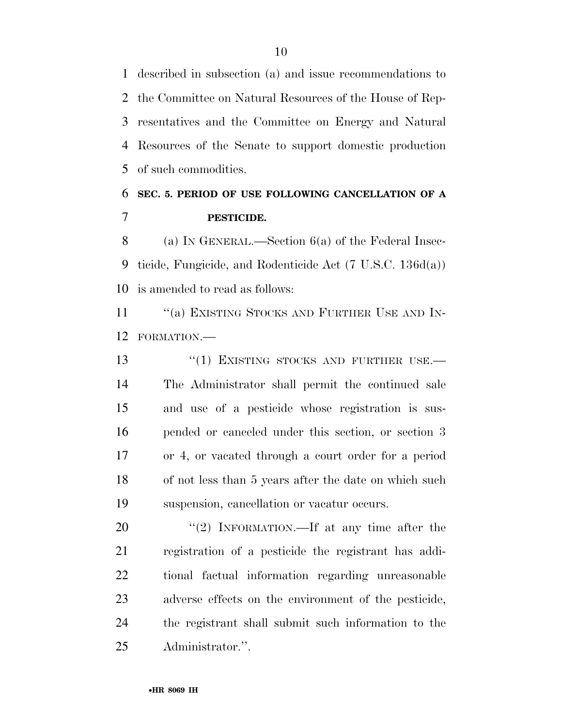described in subsection (a) and issue recommendations to the Committee on Natural Resources of the House of Rep- resentatives and the Committee on Energy and Natural Resources of the Senate to support domestic production of such commodities.

### **SEC. 5. PERIOD OF USE FOLLOWING CANCELLATION OF A PESTICIDE.**

 (a) IN GENERAL.—Section 6(a) of the Federal Insec- ticide, Fungicide, and Rodenticide Act (7 U.S.C. 136d(a)) is amended to read as follows:

11 "(a) EXISTING STOCKS AND FURTHER USE AND IN-FORMATION.—

13 "(1) EXISTING STOCKS AND FURTHER USE.— The Administrator shall permit the continued sale and use of a pesticide whose registration is sus- pended or canceled under this section, or section 3 or 4, or vacated through a court order for a period of not less than 5 years after the date on which such suspension, cancellation or vacatur occurs.

20 "(2) INFORMATION.—If at any time after the registration of a pesticide the registrant has addi- tional factual information regarding unreasonable adverse effects on the environment of the pesticide, the registrant shall submit such information to the Administrator.''.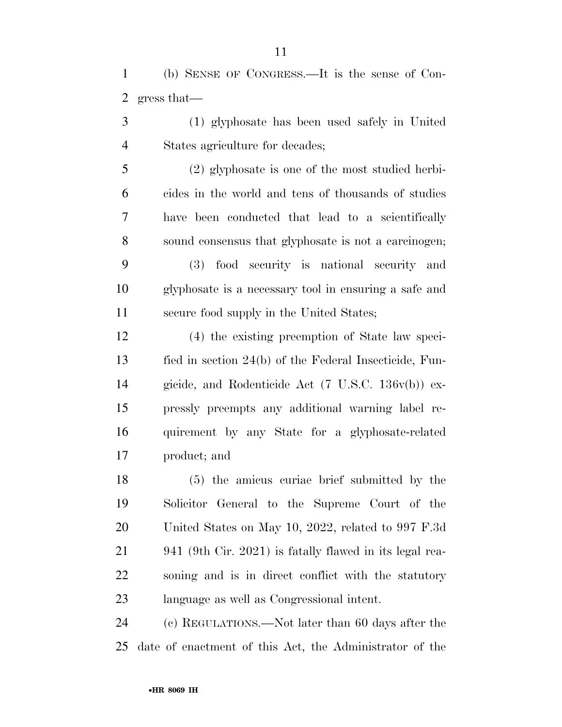(b) SENSE OF CONGRESS.—It is the sense of Con-gress that—

 (1) glyphosate has been used safely in United States agriculture for decades;

 (2) glyphosate is one of the most studied herbi- cides in the world and tens of thousands of studies have been conducted that lead to a scientifically sound consensus that glyphosate is not a carcinogen; (3) food security is national security and glyphosate is a necessary tool in ensuring a safe and secure food supply in the United States;

 (4) the existing preemption of State law speci- fied in section 24(b) of the Federal Insecticide, Fun- gicide, and Rodenticide Act (7 U.S.C. 136v(b)) ex- pressly preempts any additional warning label re- quirement by any State for a glyphosate-related product; and

 (5) the amicus curiae brief submitted by the Solicitor General to the Supreme Court of the United States on May 10, 2022, related to 997 F.3d 941 (9th Cir. 2021) is fatally flawed in its legal rea- soning and is in direct conflict with the statutory language as well as Congressional intent.

 (c) REGULATIONS.—Not later than 60 days after the date of enactment of this Act, the Administrator of the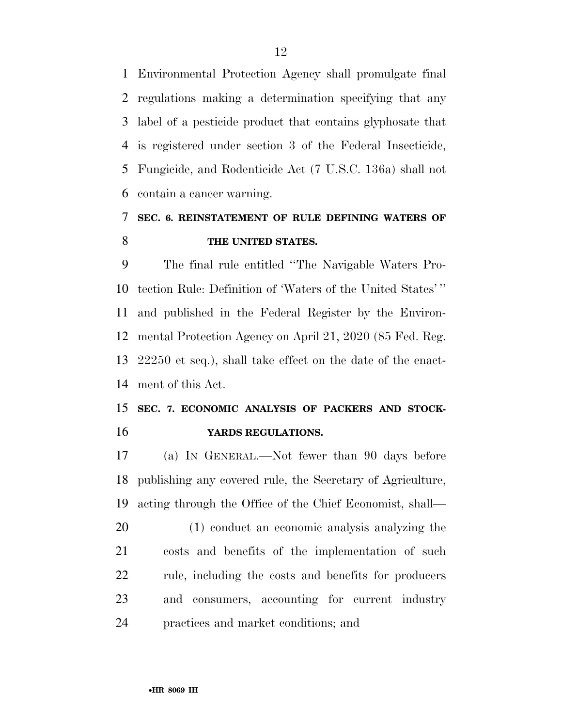Environmental Protection Agency shall promulgate final regulations making a determination specifying that any label of a pesticide product that contains glyphosate that is registered under section 3 of the Federal Insecticide, Fungicide, and Rodenticide Act (7 U.S.C. 136a) shall not contain a cancer warning.

### **SEC. 6. REINSTATEMENT OF RULE DEFINING WATERS OF THE UNITED STATES.**

 The final rule entitled ''The Navigable Waters Pro- tection Rule: Definition of 'Waters of the United States' '' and published in the Federal Register by the Environ- mental Protection Agency on April 21, 2020 (85 Fed. Reg. 22250 et seq.), shall take effect on the date of the enact-ment of this Act.

### **SEC. 7. ECONOMIC ANALYSIS OF PACKERS AND STOCK-YARDS REGULATIONS.**

 (a) IN GENERAL.—Not fewer than 90 days before publishing any covered rule, the Secretary of Agriculture, acting through the Office of the Chief Economist, shall—

 (1) conduct an economic analysis analyzing the costs and benefits of the implementation of such rule, including the costs and benefits for producers and consumers, accounting for current industry practices and market conditions; and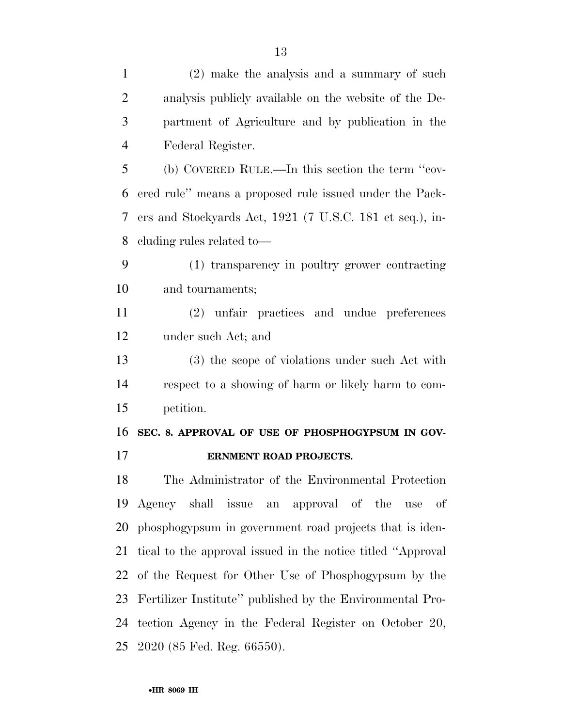(2) make the analysis and a summary of such analysis publicly available on the website of the De- partment of Agriculture and by publication in the Federal Register. (b) COVERED RULE.—In this section the term ''cov- ered rule'' means a proposed rule issued under the Pack- ers and Stockyards Act, 1921 (7 U.S.C. 181 et seq.), in- cluding rules related to— (1) transparency in poultry grower contracting and tournaments; (2) unfair practices and undue preferences under such Act; and (3) the scope of violations under such Act with respect to a showing of harm or likely harm to com- petition. **SEC. 8. APPROVAL OF USE OF PHOSPHOGYPSUM IN GOV- ERNMENT ROAD PROJECTS.**  The Administrator of the Environmental Protection Agency shall issue an approval of the use of phosphogypsum in government road projects that is iden- tical to the approval issued in the notice titled ''Approval of the Request for Other Use of Phosphogypsum by the Fertilizer Institute'' published by the Environmental Pro-tection Agency in the Federal Register on October 20,

2020 (85 Fed. Reg. 66550).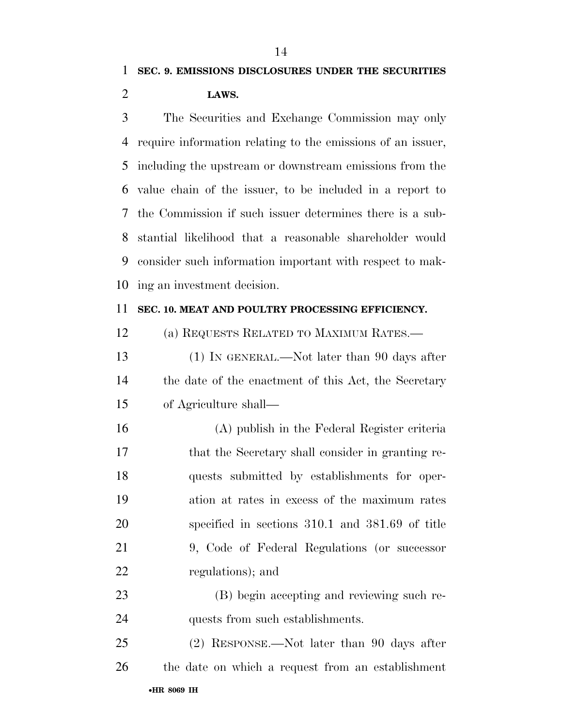## **SEC. 9. EMISSIONS DISCLOSURES UNDER THE SECURITIES LAWS.**

 The Securities and Exchange Commission may only require information relating to the emissions of an issuer, including the upstream or downstream emissions from the value chain of the issuer, to be included in a report to the Commission if such issuer determines there is a sub- stantial likelihood that a reasonable shareholder would consider such information important with respect to mak-ing an investment decision.

#### **SEC. 10. MEAT AND POULTRY PROCESSING EFFICIENCY.**

- (a) REQUESTS RELATED TO MAXIMUM RATES.—
- 13 (1) IN GENERAL.—Not later than 90 days after 14 the date of the enactment of this Act, the Secretary of Agriculture shall—
- (A) publish in the Federal Register criteria that the Secretary shall consider in granting re- quests submitted by establishments for oper- ation at rates in excess of the maximum rates specified in sections 310.1 and 381.69 of title 9, Code of Federal Regulations (or successor regulations); and
- (B) begin accepting and reviewing such re-24 quests from such establishments.
- •**HR 8069 IH** (2) RESPONSE.—Not later than 90 days after the date on which a request from an establishment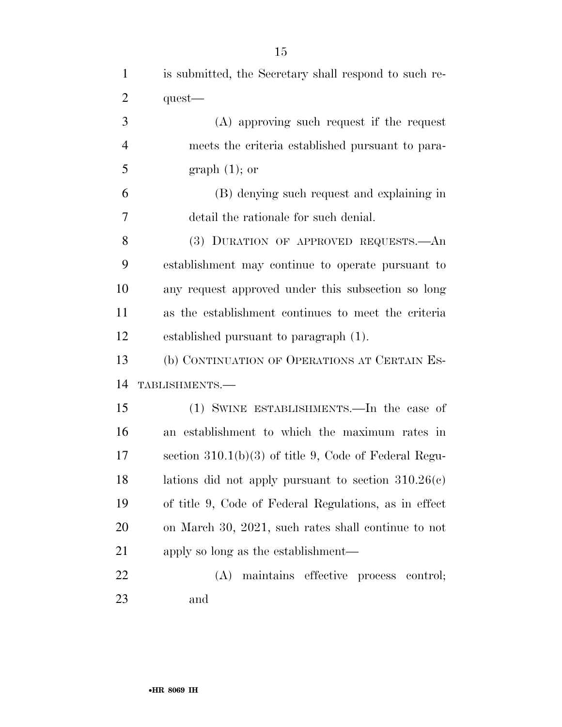| $\mathbf{1}$   | is submitted, the Secretary shall respond to such re-   |
|----------------|---------------------------------------------------------|
| $\overline{2}$ | $quest$ —                                               |
| 3              | $(A)$ approving such request if the request             |
| $\overline{4}$ | meets the criteria established pursuant to para-        |
| 5              | $graph(1);$ or                                          |
| 6              | (B) denying such request and explaining in              |
| 7              | detail the rationale for such denial.                   |
| 8              | (3) DURATION OF APPROVED REQUESTS.—An                   |
| 9              | establishment may continue to operate pursuant to       |
| 10             | any request approved under this subsection so long      |
| 11             | as the establishment continues to meet the criteria     |
| 12             | established pursuant to paragraph (1).                  |
| 13             | (b) CONTINUATION OF OPERATIONS AT CERTAIN ES-           |
| 14             | TABLISHMENTS.-                                          |
| 15             | (1) SWINE ESTABLISHMENTS.—In the case of                |
| 16             | an establishment to which the maximum rates in          |
| 17             | section $310.1(b)(3)$ of title 9, Code of Federal Regu- |
| 18             | lations did not apply pursuant to section $310.26(c)$   |
| 19             | of title 9, Code of Federal Regulations, as in effect   |
| 20             | on March 30, 2021, such rates shall continue to not     |
| 21             | apply so long as the establishment—                     |
| 22             | (A) maintains effective process control;                |
| 23             | and                                                     |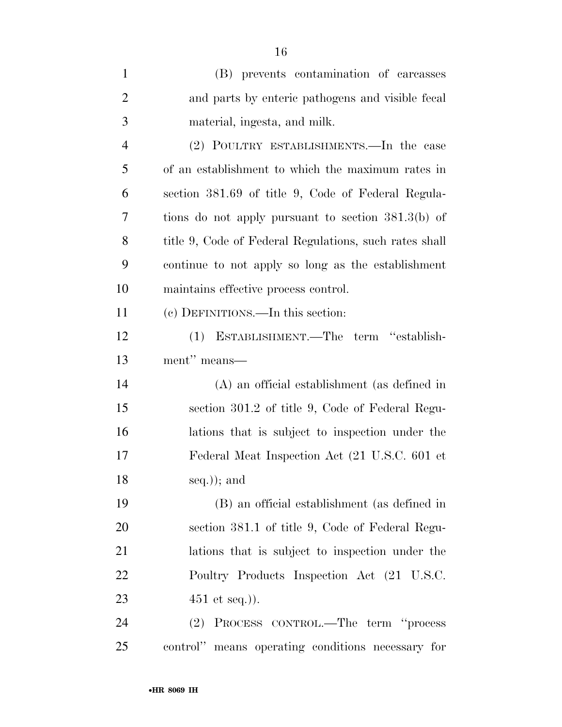| $\mathbf{1}$   | (B) prevents contamination of carcasses                |
|----------------|--------------------------------------------------------|
| $\overline{2}$ | and parts by enteric pathogens and visible fecal       |
| 3              | material, ingesta, and milk.                           |
| $\overline{4}$ | (2) POULTRY ESTABLISHMENTS.—In the case                |
| 5              | of an establishment to which the maximum rates in      |
| 6              | section 381.69 of title 9, Code of Federal Regula-     |
| 7              | tions do not apply pursuant to section $381.3(b)$ of   |
| 8              | title 9, Code of Federal Regulations, such rates shall |
| 9              | continue to not apply so long as the establishment     |
| 10             | maintains effective process control.                   |
| 11             | (c) DEFINITIONS.—In this section:                      |
| 12             | (1) ESTABLISHMENT.—The term "establish-                |
| 13             | ment" means-                                           |
| 14             | (A) an official establishment (as defined in           |
| 15             | section 301.2 of title 9, Code of Federal Regu-        |
| 16             | lations that is subject to inspection under the        |
| 17             | Federal Meat Inspection Act (21 U.S.C. 601 et          |
| 18             | $seq.$ ); and                                          |
| 19             | (B) an official establishment (as defined in           |
| 20             | section 381.1 of title 9, Code of Federal Regu-        |
| 21             | lations that is subject to inspection under the        |
| 22             | Poultry Products Inspection Act (21 U.S.C.             |
| 23             | $451$ et seq.)).                                       |
| 24             | (2) PROCESS CONTROL.—The term "process"                |
| 25             | control" means operating conditions necessary for      |